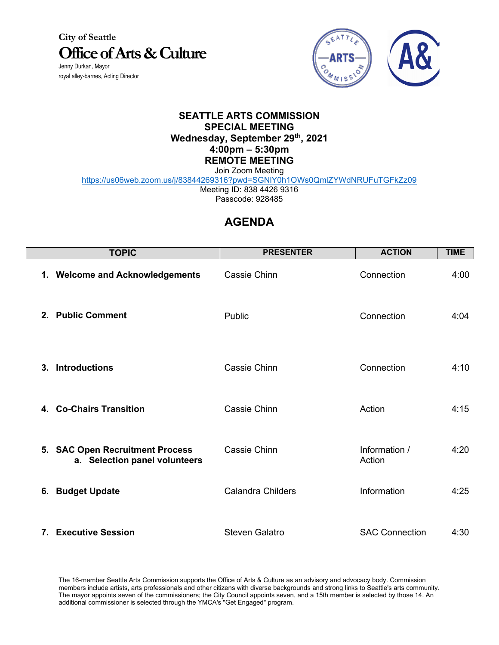**City of Seattle Office of Arts & Culture** Jenny Durkan, Mayor royal alley-barnes, Acting Director



## **SEATTLE ARTS COMMISSION SPECIAL MEETING Wednesday, September 29th, 2021 4:00pm – 5:30pm REMOTE MEETING**

Join Zoom Meeting

<https://us06web.zoom.us/j/83844269316?pwd=SGNlY0h1OWs0QmlZYWdNRUFuTGFkZz09>

Meeting ID: 838 4426 9316 Passcode: 928485

## **AGENDA**

| <b>TOPIC</b>                                                     | <b>PRESENTER</b>         | <b>ACTION</b>           | <b>TIME</b> |
|------------------------------------------------------------------|--------------------------|-------------------------|-------------|
| 1. Welcome and Acknowledgements                                  | Cassie Chinn             | Connection              | 4:00        |
| 2. Public Comment                                                | Public                   | Connection              | 4:04        |
| 3. Introductions                                                 | Cassie Chinn             | Connection              | 4:10        |
| 4. Co-Chairs Transition                                          | Cassie Chinn             | Action                  | 4:15        |
| 5. SAC Open Recruitment Process<br>a. Selection panel volunteers | Cassie Chinn             | Information /<br>Action | 4:20        |
| 6. Budget Update                                                 | <b>Calandra Childers</b> | Information             | 4:25        |
| 7. Executive Session                                             | <b>Steven Galatro</b>    | <b>SAC Connection</b>   | 4:30        |

The 16-member Seattle Arts Commission supports the Office of Arts & Culture as an advisory and advocacy body. Commission members include artists, arts professionals and other citizens with diverse backgrounds and strong links to Seattle's arts community. The mayor appoints seven of the commissioners; the City Council appoints seven, and a 15th member is selected by those 14. An additional commissioner is selected through the YMCA's "Get Engaged" program.